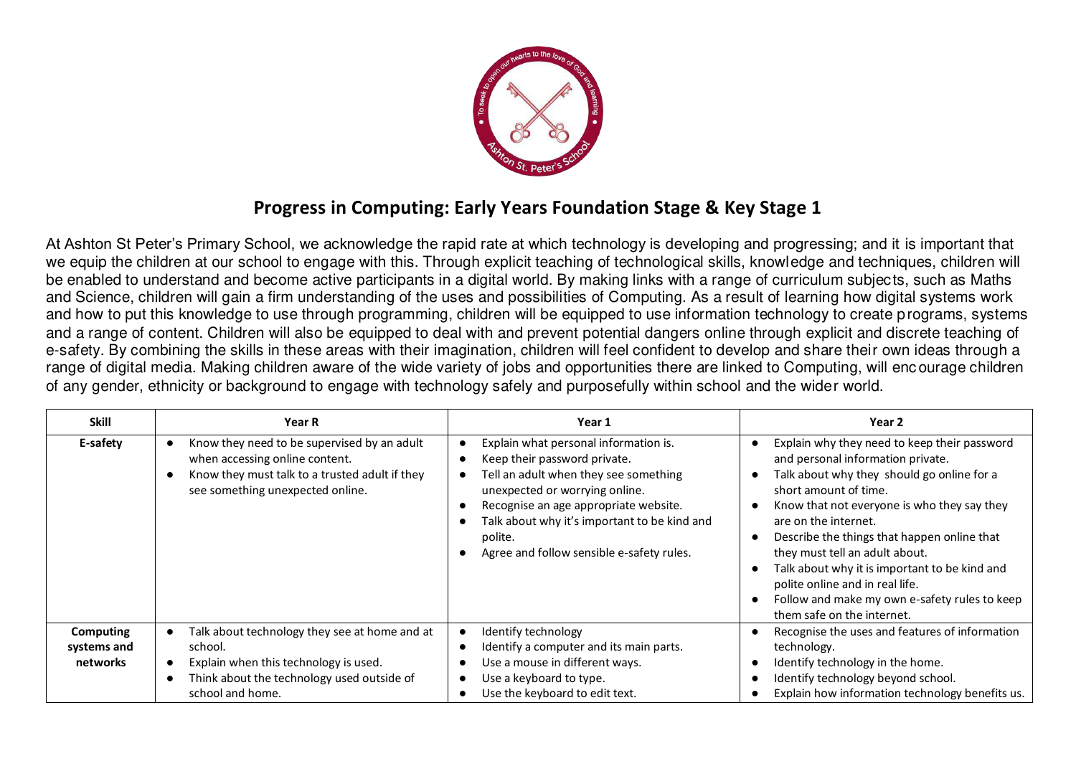

## **Progress in Computing: Early Years Foundation Stage & Key Stage 1**

At Ashton St Peter's Primary School, we acknowledge the rapid rate at which technology is developing and progressing; and it is important that we equip the children at our school to engage with this. Through explicit teaching of technological skills, knowledge and techniques, children will be enabled to understand and become active participants in a digital world. By making links with a range of curriculum subjects, such as Maths and Science, children will gain a firm understanding of the uses and possibilities of Computing. As a result of learning how digital systems work and how to put this knowledge to use through programming, children will be equipped to use information technology to create programs, systems and a range of content. Children will also be equipped to deal with and prevent potential dangers online through explicit and discrete teaching of e-safety. By combining the skills in these areas with their imagination, children will feel confident to develop and share their own ideas through a range of digital media. Making children aware of the wide variety of jobs and opportunities there are linked to Computing, will enc ourage children of any gender, ethnicity or background to engage with technology safely and purposefully within school and the wider world.

| <b>Skill</b>                                | <b>Year R</b>                                                                                                                                                       | Year 1                                                                                                                                                                                                                                                                                            | Year 2                                                                                                                                                                                                                                                                                                                                                                                                                                                                              |
|---------------------------------------------|---------------------------------------------------------------------------------------------------------------------------------------------------------------------|---------------------------------------------------------------------------------------------------------------------------------------------------------------------------------------------------------------------------------------------------------------------------------------------------|-------------------------------------------------------------------------------------------------------------------------------------------------------------------------------------------------------------------------------------------------------------------------------------------------------------------------------------------------------------------------------------------------------------------------------------------------------------------------------------|
| E-safety                                    | Know they need to be supervised by an adult<br>when accessing online content.<br>Know they must talk to a trusted adult if they<br>see something unexpected online. | Explain what personal information is.<br>Keep their password private.<br>Tell an adult when they see something<br>unexpected or worrying online.<br>Recognise an age appropriate website.<br>Talk about why it's important to be kind and<br>polite.<br>Agree and follow sensible e-safety rules. | Explain why they need to keep their password<br>and personal information private.<br>Talk about why they should go online for a<br>short amount of time.<br>Know that not everyone is who they say they<br>are on the internet.<br>Describe the things that happen online that<br>they must tell an adult about.<br>Talk about why it is important to be kind and<br>polite online and in real life.<br>Follow and make my own e-safety rules to keep<br>them safe on the internet. |
| <b>Computing</b><br>systems and<br>networks | Talk about technology they see at home and at<br>school.<br>Explain when this technology is used.<br>Think about the technology used outside of<br>school and home. | Identify technology<br>Identify a computer and its main parts.<br>Use a mouse in different ways.<br>Use a keyboard to type.<br>Use the keyboard to edit text.                                                                                                                                     | Recognise the uses and features of information<br>technology.<br>Identify technology in the home.<br>Identify technology beyond school.<br>Explain how information technology benefits us.                                                                                                                                                                                                                                                                                          |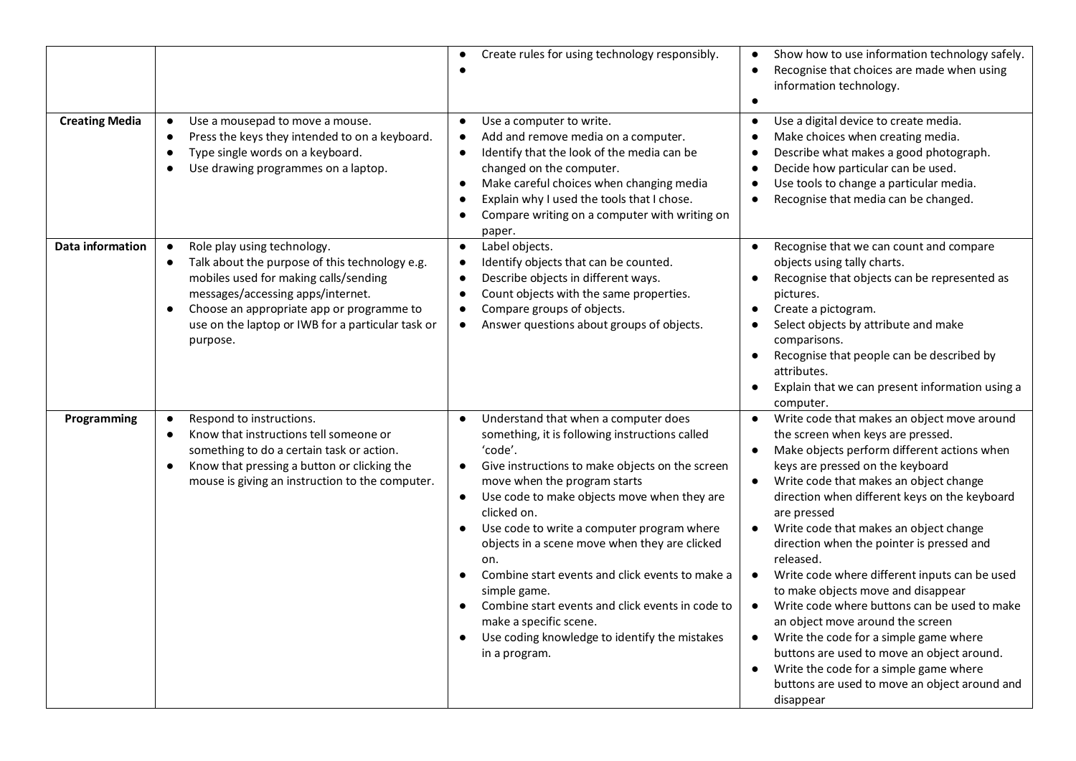|                         |                                                                                                                                                                                                                                                                                                     | Create rules for using technology responsibly.<br>$\bullet$                                                                                                                                                                                                                                                                                                                                                                                                                                                                                                                                                                                                            | Show how to use information technology safely.<br>Recognise that choices are made when using<br>information technology.                                                                                                                                                                                                                                                                                                                                                                                                                                                                                                                                                                                                                                                                |
|-------------------------|-----------------------------------------------------------------------------------------------------------------------------------------------------------------------------------------------------------------------------------------------------------------------------------------------------|------------------------------------------------------------------------------------------------------------------------------------------------------------------------------------------------------------------------------------------------------------------------------------------------------------------------------------------------------------------------------------------------------------------------------------------------------------------------------------------------------------------------------------------------------------------------------------------------------------------------------------------------------------------------|----------------------------------------------------------------------------------------------------------------------------------------------------------------------------------------------------------------------------------------------------------------------------------------------------------------------------------------------------------------------------------------------------------------------------------------------------------------------------------------------------------------------------------------------------------------------------------------------------------------------------------------------------------------------------------------------------------------------------------------------------------------------------------------|
| <b>Creating Media</b>   | Use a mousepad to move a mouse.<br>$\bullet$<br>Press the keys they intended to on a keyboard.<br>$\bullet$<br>Type single words on a keyboard.<br>$\bullet$<br>Use drawing programmes on a laptop.<br>$\bullet$                                                                                    | Use a computer to write.<br>$\bullet$<br>Add and remove media on a computer.<br>$\bullet$<br>Identify that the look of the media can be<br>$\bullet$<br>changed on the computer.<br>Make careful choices when changing media<br>$\bullet$<br>Explain why I used the tools that I chose.<br>$\bullet$<br>Compare writing on a computer with writing on<br>$\bullet$<br>paper.                                                                                                                                                                                                                                                                                           | Use a digital device to create media.<br>Make choices when creating media.<br>Describe what makes a good photograph.<br>Decide how particular can be used.<br>Use tools to change a particular media.<br>Recognise that media can be changed.                                                                                                                                                                                                                                                                                                                                                                                                                                                                                                                                          |
| <b>Data information</b> | Role play using technology.<br>$\bullet$<br>Talk about the purpose of this technology e.g.<br>$\bullet$<br>mobiles used for making calls/sending<br>messages/accessing apps/internet.<br>Choose an appropriate app or programme to<br>use on the laptop or IWB for a particular task or<br>purpose. | Label objects.<br>$\bullet$<br>Identify objects that can be counted.<br>$\bullet$<br>Describe objects in different ways.<br>$\bullet$<br>Count objects with the same properties.<br>$\bullet$<br>Compare groups of objects.<br>$\bullet$<br>Answer questions about groups of objects.<br>$\bullet$                                                                                                                                                                                                                                                                                                                                                                     | Recognise that we can count and compare<br>objects using tally charts.<br>Recognise that objects can be represented as<br>pictures.<br>Create a pictogram.<br>Select objects by attribute and make<br>comparisons.<br>Recognise that people can be described by<br>$\bullet$<br>attributes.<br>Explain that we can present information using a<br>computer.                                                                                                                                                                                                                                                                                                                                                                                                                            |
| Programming             | Respond to instructions.<br>$\bullet$<br>Know that instructions tell someone or<br>$\bullet$<br>something to do a certain task or action.<br>Know that pressing a button or clicking the<br>$\bullet$<br>mouse is giving an instruction to the computer.                                            | Understand that when a computer does<br>$\bullet$<br>something, it is following instructions called<br>'code'.<br>Give instructions to make objects on the screen<br>$\bullet$<br>move when the program starts<br>Use code to make objects move when they are<br>$\bullet$<br>clicked on.<br>Use code to write a computer program where<br>$\bullet$<br>objects in a scene move when they are clicked<br>on.<br>Combine start events and click events to make a<br>$\bullet$<br>simple game.<br>Combine start events and click events in code to<br>$\bullet$<br>make a specific scene.<br>Use coding knowledge to identify the mistakes<br>$\bullet$<br>in a program. | Write code that makes an object move around<br>the screen when keys are pressed.<br>Make objects perform different actions when<br>keys are pressed on the keyboard<br>Write code that makes an object change<br>direction when different keys on the keyboard<br>are pressed<br>Write code that makes an object change<br>direction when the pointer is pressed and<br>released.<br>Write code where different inputs can be used<br>to make objects move and disappear<br>Write code where buttons can be used to make<br>$\bullet$<br>an object move around the screen<br>Write the code for a simple game where<br>$\bullet$<br>buttons are used to move an object around.<br>Write the code for a simple game where<br>buttons are used to move an object around and<br>disappear |